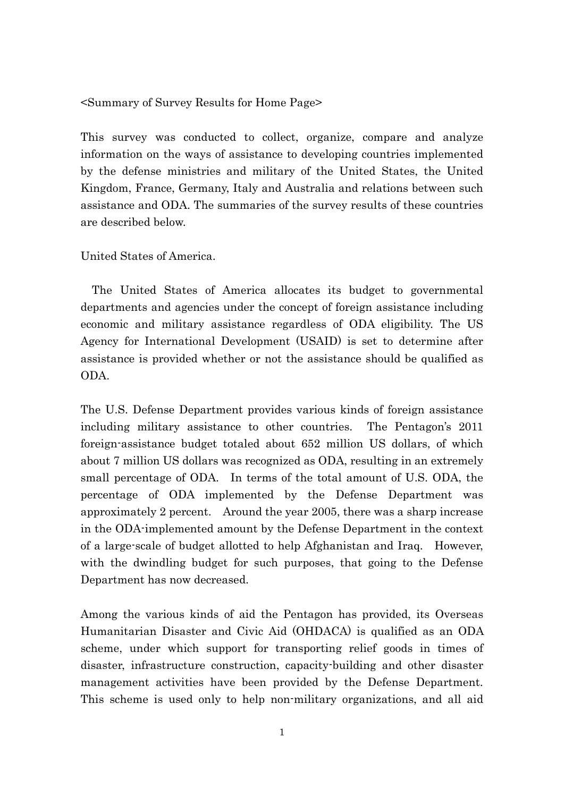<Summary of Survey Results for Home Page>

This survey was conducted to collect, organize, compare and analyze information on the ways of assistance to developing countries implemented by the defense ministries and military of the United States, the United Kingdom, France, Germany, Italy and Australia and relations between such assistance and ODA. The summaries of the survey results of these countries are described below.

United States of America.

The United States of America allocates its budget to governmental departments and agencies under the concept of foreign assistance including economic and military assistance regardless of ODA eligibility. The US Agency for International Development (USAID) is set to determine after assistance is provided whether or not the assistance should be qualified as ODA.

The U.S. Defense Department provides various kinds of foreign assistance including military assistance to other countries. The Pentagon's 2011 foreign-assistance budget totaled about 652 million US dollars, of which about 7 million US dollars was recognized as ODA, resulting in an extremely small percentage of ODA. In terms of the total amount of U.S. ODA, the percentage of ODA implemented by the Defense Department was approximately 2 percent. Around the year 2005, there was a sharp increase in the ODA-implemented amount by the Defense Department in the context of a large-scale of budget allotted to help Afghanistan and Iraq. However, with the dwindling budget for such purposes, that going to the Defense Department has now decreased.

Among the various kinds of aid the Pentagon has provided, its Overseas Humanitarian Disaster and Civic Aid (OHDACA) is qualified as an ODA scheme, under which support for transporting relief goods in times of disaster, infrastructure construction, capacity-building and other disaster management activities have been provided by the Defense Department. This scheme is used only to help non-military organizations, and all aid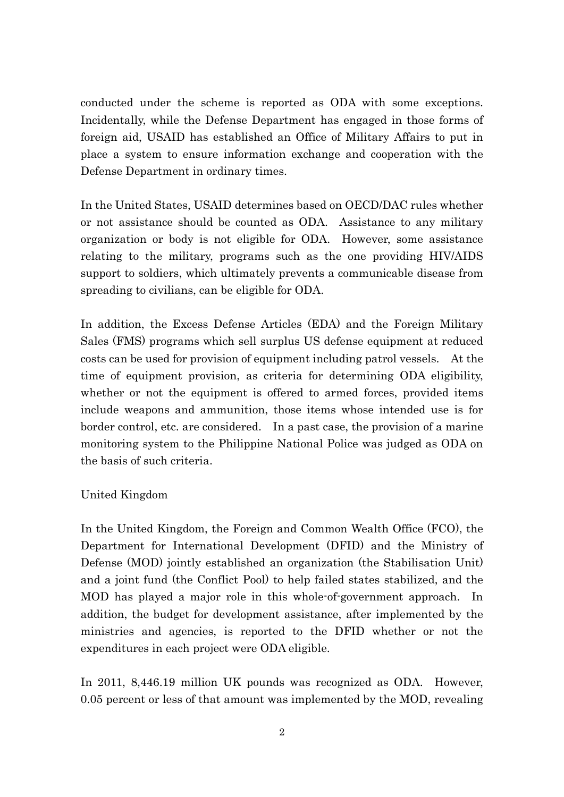conducted under the scheme is reported as ODA with some exceptions. Incidentally, while the Defense Department has engaged in those forms of foreign aid, USAID has established an Office of Military Affairs to put in place a system to ensure information exchange and cooperation with the Defense Department in ordinary times.

In the United States, USAID determines based on OECD/DAC rules whether or not assistance should be counted as ODA. Assistance to any military organization or body is not eligible for ODA. However, some assistance relating to the military, programs such as the one providing HIV/AIDS support to soldiers, which ultimately prevents a communicable disease from spreading to civilians, can be eligible for ODA.

In addition, the Excess Defense Articles (EDA) and the Foreign Military Sales (FMS) programs which sell surplus US defense equipment at reduced costs can be used for provision of equipment including patrol vessels. At the time of equipment provision, as criteria for determining ODA eligibility, whether or not the equipment is offered to armed forces, provided items include weapons and ammunition, those items whose intended use is for border control, etc. are considered. In a past case, the provision of a marine monitoring system to the Philippine National Police was judged as ODA on the basis of such criteria.

# United Kingdom

In the United Kingdom, the Foreign and Common Wealth Office (FCO), the Department for International Development (DFID) and the Ministry of Defense (MOD) jointly established an organization (the Stabilisation Unit) and a joint fund (the Conflict Pool) to help failed states stabilized, and the MOD has played a major role in this whole-of-government approach. In addition, the budget for development assistance, after implemented by the ministries and agencies, is reported to the DFID whether or not the expenditures in each project were ODA eligible.

In 2011, 8,446.19 million UK pounds was recognized as ODA. However, 0.05 percent or less of that amount was implemented by the MOD, revealing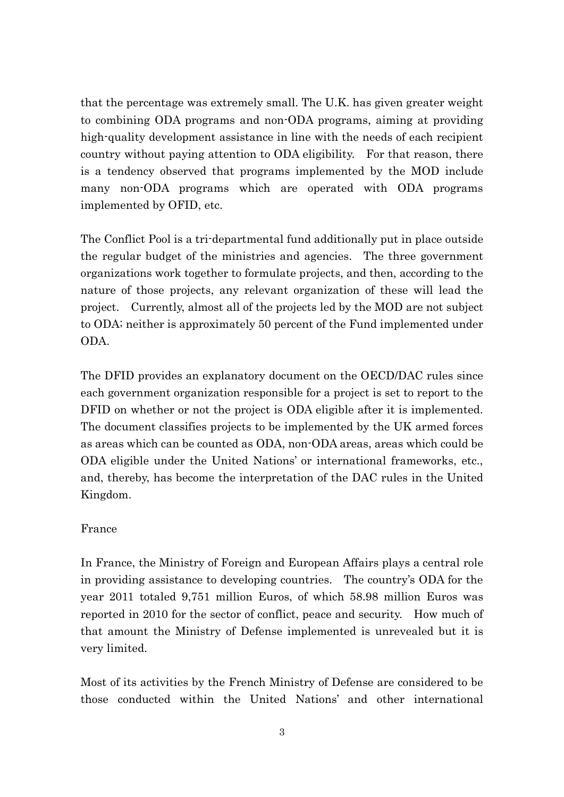that the percentage was extremely small. The U.K. has given greater weight to combining ODA programs and non-ODA programs, aiming at providing high-quality development assistance in line with the needs of each recipient country without paying attention to ODA eligibility. For that reason, there is a tendency observed that programs implemented by the MOD include many non-ODA programs which are operated with ODA programs implemented by OFID, etc.

The Conflict Pool is a tri-departmental fund additionally put in place outside the regular budget of the ministries and agencies. The three government organizations work together to formulate projects, and then, according to the nature of those projects, any relevant organization of these will lead the project. Currently, almost all of the projects led by the MOD are not subject to ODA; neither is approximately 50 percent of the Fund implemented under ODA.

The DFID provides an explanatory document on the OECD/DAC rules since each government organization responsible for a project is set to report to the DFID on whether or not the project is ODA eligible after it is implemented. The document classifies projects to be implemented by the UK armed forces as areas which can be counted as ODA, non-ODA areas, areas which could be ODA eligible under the United Nations' or international frameworks, etc., and, thereby, has become the interpretation of the DAC rules in the United Kingdom.

# France

In France, the Ministry of Foreign and European Affairs plays a central role in providing assistance to developing countries. The country's ODA for the year 2011 totaled 9,751 million Euros, of which 58.98 million Euros was reported in 2010 for the sector of conflict, peace and security. How much of that amount the Ministry of Defense implemented is unrevealed but it is very limited.

Most of its activities by the French Ministry of Defense are considered to be those conducted within the United Nations' and other international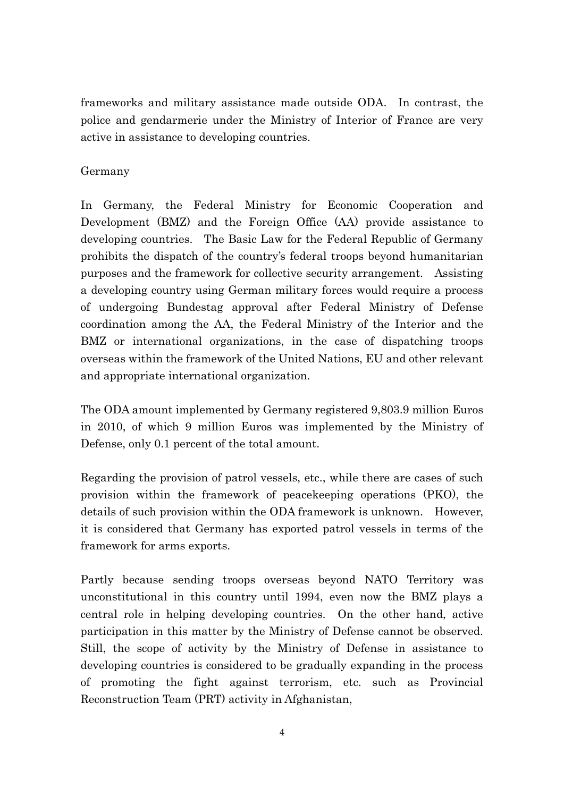frameworks and military assistance made outside ODA. In contrast, the police and gendarmerie under the Ministry of Interior of France are very active in assistance to developing countries.

# Germany

In Germany, the Federal Ministry for Economic Cooperation and Development (BMZ) and the Foreign Office (AA) provide assistance to developing countries. The Basic Law for the Federal Republic of Germany prohibits the dispatch of the country's federal troops beyond humanitarian purposes and the framework for collective security arrangement. Assisting a developing country using German military forces would require a process of undergoing Bundestag approval after Federal Ministry of Defense coordination among the AA, the Federal Ministry of the Interior and the BMZ or international organizations, in the case of dispatching troops overseas within the framework of the United Nations, EU and other relevant and appropriate international organization.

The ODA amount implemented by Germany registered 9,803.9 million Euros in 2010, of which 9 million Euros was implemented by the Ministry of Defense, only 0.1 percent of the total amount.

Regarding the provision of patrol vessels, etc., while there are cases of such provision within the framework of peacekeeping operations (PKO), the details of such provision within the ODA framework is unknown. However, it is considered that Germany has exported patrol vessels in terms of the framework for arms exports.

Partly because sending troops overseas beyond NATO Territory was unconstitutional in this country until 1994, even now the BMZ plays a central role in helping developing countries. On the other hand, active participation in this matter by the Ministry of Defense cannot be observed. Still, the scope of activity by the Ministry of Defense in assistance to developing countries is considered to be gradually expanding in the process of promoting the fight against terrorism, etc. such as Provincial Reconstruction Team (PRT) activity in Afghanistan,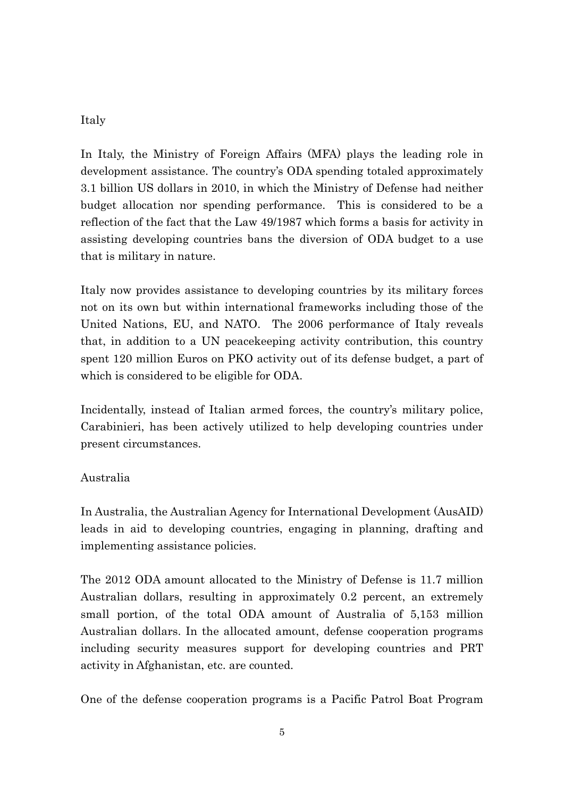# Italy

In Italy, the Ministry of Foreign Affairs (MFA) plays the leading role in development assistance. The country's ODA spending totaled approximately 3.1 billion US dollars in 2010, in which the Ministry of Defense had neither budget allocation nor spending performance. This is considered to be a reflection of the fact that the Law 49/1987 which forms a basis for activity in assisting developing countries bans the diversion of ODA budget to a use that is military in nature.

Italy now provides assistance to developing countries by its military forces not on its own but within international frameworks including those of the United Nations, EU, and NATO. The 2006 performance of Italy reveals that, in addition to a UN peacekeeping activity contribution, this country spent 120 million Euros on PKO activity out of its defense budget, a part of which is considered to be eligible for ODA.

Incidentally, instead of Italian armed forces, the country's military police, Carabinieri, has been actively utilized to help developing countries under present circumstances.

# Australia

In Australia, the Australian Agency for International Development (AusAID) leads in aid to developing countries, engaging in planning, drafting and implementing assistance policies.

The 2012 ODA amount allocated to the Ministry of Defense is 11.7 million Australian dollars, resulting in approximately 0.2 percent, an extremely small portion, of the total ODA amount of Australia of 5,153 million Australian dollars. In the allocated amount, defense cooperation programs including security measures support for developing countries and PRT activity in Afghanistan, etc. are counted.

One of the defense cooperation programs is a Pacific Patrol Boat Program